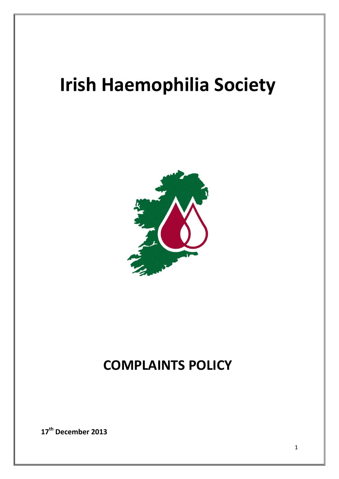# **Irish Haemophilia Society**



# **COMPLAINTS POLICY**

**17th December 2013**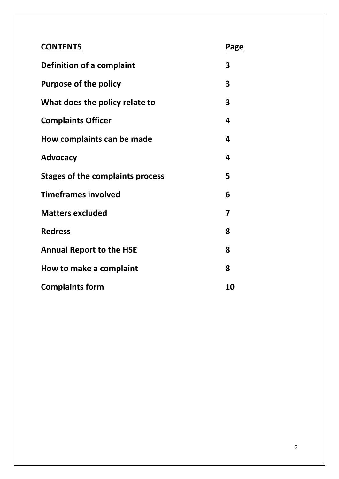| <b>CONTENTS</b>                         | Page |
|-----------------------------------------|------|
| Definition of a complaint               | 3    |
| <b>Purpose of the policy</b>            | 3    |
| What does the policy relate to          | 3    |
| <b>Complaints Officer</b>               | 4    |
| How complaints can be made              | 4    |
| <b>Advocacy</b>                         | 4    |
| <b>Stages of the complaints process</b> | 5    |
| <b>Timeframes involved</b>              | 6    |
| <b>Matters excluded</b>                 | 7    |
| <b>Redress</b>                          | 8    |
| <b>Annual Report to the HSE</b>         | 8    |
| How to make a complaint                 | 8    |
| <b>Complaints form</b>                  | 10   |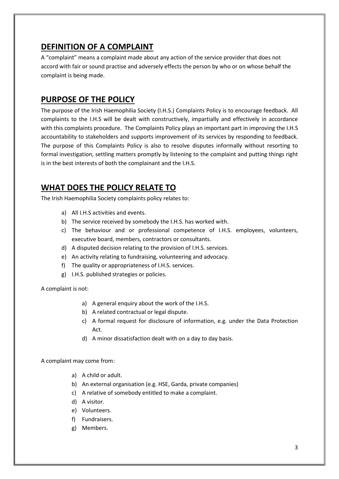# **DEFINITION OF A COMPLAINT**

A "complaint" means a complaint made about any action of the service provider that does not accord with fair or sound practise and adversely effects the person by who or on whose behalf the complaint is being made.

### **PURPOSE OF THE POLICY**

The purpose of the Irish Haemophilia Society (I.H.S.) Complaints Policy is to encourage feedback. All complaints to the I.H.S will be dealt with constructively, impartially and effectively in accordance with this complaints procedure. The Complaints Policy plays an important part in improving the I.H.S accountability to stakeholders and supports improvement of its services by responding to feedback. The purpose of this Complaints Policy is also to resolve disputes informally without resorting to formal investigation, settling matters promptly by listening to the complaint and putting things right is in the best interests of both the complainant and the I.H.S.

# **WHAT DOES THE POLICY RELATE TO**

The Irish Haemophilia Society complaints policy relates to:

- a) All I.H.S activities and events.
- b) The service received by somebody the I.H.S. has worked with.
- c) The behaviour and or professional competence of I.H.S. employees, volunteers, executive board, members, contractors or consultants.
- d) A disputed decision relating to the provision of I.H.S. services.
- e) An activity relating to fundraising, volunteering and advocacy.
- f) The quality or appropriateness of I.H.S. services.
- g) I.H.S. published strategies or policies.

A complaint is not:

- a) A general enquiry about the work of the I.H.S.
- b) A related contractual or legal dispute.
- c) A formal request for disclosure of information, e.g. under the Data Protection Act.
- d) A minor dissatisfaction dealt with on a day to day basis.

A complaint may come from:

- a) A child or adult.
- b) An external organisation (e.g. HSE, Garda, private companies)
- c) A relative of somebody entitled to make a complaint.
- d) A visitor.
- e) Volunteers.
- f) Fundraisers.
- g) Members.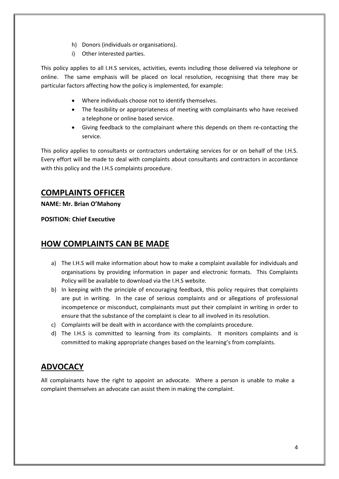- h) Donors (individuals or organisations).
- i) Other interested parties.

This policy applies to all I.H.S services, activities, events including those delivered via telephone or online. The same emphasis will be placed on local resolution, recognising that there may be particular factors affecting how the policy is implemented, for example:

- Where individuals choose not to identify themselves.
- The feasibility or appropriateness of meeting with complainants who have received a telephone or online based service.
- Giving feedback to the complainant where this depends on them re-contacting the service.

This policy applies to consultants or contractors undertaking services for or on behalf of the I.H.S. Every effort will be made to deal with complaints about consultants and contractors in accordance with this policy and the I.H.S complaints procedure.

## **COMPLAINTS OFFICER**

**NAME: Mr. Brian O'Mahony** 

**POSITION: Chief Executive** 

#### **HOW COMPLAINTS CAN BE MADE**

- a) The I.H.S will make information about how to make a complaint available for individuals and organisations by providing information in paper and electronic formats. This Complaints Policy will be available to download via the I.H.S website.
- b) In keeping with the principle of encouraging feedback, this policy requires that complaints are put in writing. In the case of serious complaints and or allegations of professional incompetence or misconduct, complainants must put their complaint in writing in order to ensure that the substance of the complaint is clear to all involved in its resolution.
- c) Complaints will be dealt with in accordance with the complaints procedure.
- d) The I.H.S is committed to learning from its complaints. It monitors complaints and is committed to making appropriate changes based on the learning's from complaints.

# **ADVOCACY**

All complainants have the right to appoint an advocate. Where a person is unable to make a complaint themselves an advocate can assist them in making the complaint.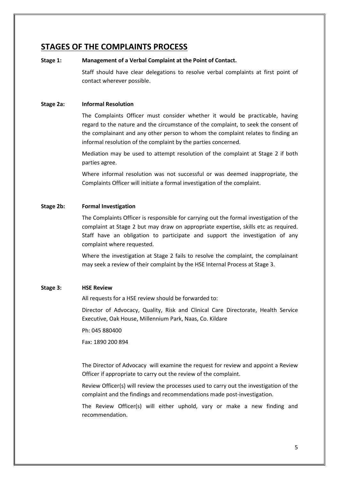#### **STAGES OF THE COMPLAINTS PROCESS**

#### **Stage 1: Management of a Verbal Complaint at the Point of Contact.**

Staff should have clear delegations to resolve verbal complaints at first point of contact wherever possible.

#### **Stage 2a: Informal Resolution**

The Complaints Officer must consider whether it would be practicable, having regard to the nature and the circumstance of the complaint, to seek the consent of the complainant and any other person to whom the complaint relates to finding an informal resolution of the complaint by the parties concerned.

Mediation may be used to attempt resolution of the complaint at Stage 2 if both parties agree.

Where informal resolution was not successful or was deemed inappropriate, the Complaints Officer will initiate a formal investigation of the complaint.

#### **Stage 2b: Formal Investigation**

The Complaints Officer is responsible for carrying out the formal investigation of the complaint at Stage 2 but may draw on appropriate expertise, skills etc as required. Staff have an obligation to participate and support the investigation of any complaint where requested.

Where the investigation at Stage 2 fails to resolve the complaint, the complainant may seek a review of their complaint by the HSE Internal Process at Stage 3.

#### **Stage 3: HSE Review**

All requests for a HSE review should be forwarded to:

Director of Advocacy, Quality, Risk and Clinical Care Directorate, Health Service Executive, Oak House, Millennium Park, Naas, Co. Kildare

Ph: 045 880400

Fax: 1890 200 894

The Director of Advocacy will examine the request for review and appoint a Review Officer if appropriate to carry out the review of the complaint.

Review Officer(s) will review the processes used to carry out the investigation of the complaint and the findings and recommendations made post-investigation.

The Review Officer(s) will either uphold, vary or make a new finding and recommendation.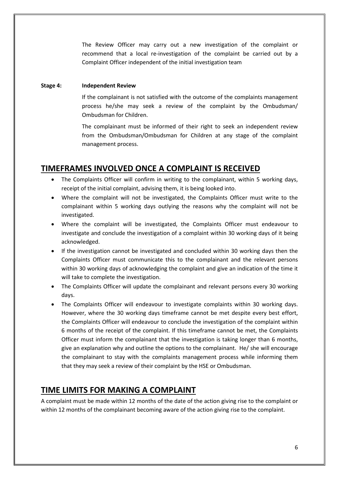The Review Officer may carry out a new investigation of the complaint or recommend that a local re-investigation of the complaint be carried out by a Complaint Officer independent of the initial investigation team

#### **Stage 4: Independent Review**

If the complainant is not satisfied with the outcome of the complaints management process he/she may seek a review of the complaint by the Ombudsman/ Ombudsman for Children.

The complainant must be informed of their right to seek an independent review from the Ombudsman/Ombudsman for Children at any stage of the complaint management process.

#### **TIMEFRAMES INVOLVED ONCE A COMPLAINT IS RECEIVED**

- The Complaints Officer will confirm in writing to the complainant, within 5 working days, receipt of the initial complaint, advising them, it is being looked into.
- Where the complaint will not be investigated, the Complaints Officer must write to the complainant within 5 working days outlying the reasons why the complaint will not be investigated.
- Where the complaint will be investigated, the Complaints Officer must endeavour to investigate and conclude the investigation of a complaint within 30 working days of it being acknowledged.
- If the investigation cannot be investigated and concluded within 30 working days then the Complaints Officer must communicate this to the complainant and the relevant persons within 30 working days of acknowledging the complaint and give an indication of the time it will take to complete the investigation.
- The Complaints Officer will update the complainant and relevant persons every 30 working days.
- The Complaints Officer will endeavour to investigate complaints within 30 working days. However, where the 30 working days timeframe cannot be met despite every best effort, the Complaints Officer will endeavour to conclude the investigation of the complaint within 6 months of the receipt of the complaint. If this timeframe cannot be met, the Complaints Officer must inform the complainant that the investigation is taking longer than 6 months, give an explanation why and outline the options to the complainant. He/ she will encourage the complainant to stay with the complaints management process while informing them that they may seek a review of their complaint by the HSE or Ombudsman.

#### **TIME LIMITS FOR MAKING A COMPLAINT**

A complaint must be made within 12 months of the date of the action giving rise to the complaint or within 12 months of the complainant becoming aware of the action giving rise to the complaint.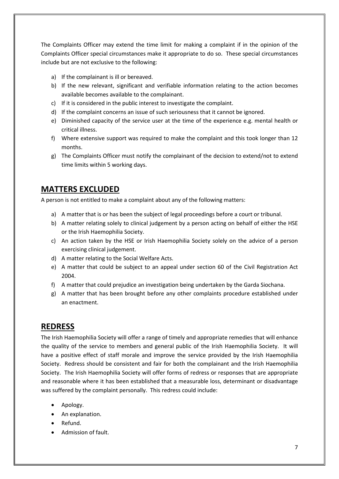The Complaints Officer may extend the time limit for making a complaint if in the opinion of the Complaints Officer special circumstances make it appropriate to do so. These special circumstances include but are not exclusive to the following:

- a) If the complainant is ill or bereaved.
- b) If the new relevant, significant and verifiable information relating to the action becomes available becomes available to the complainant.
- c) If it is considered in the public interest to investigate the complaint.
- d) If the complaint concerns an issue of such seriousness that it cannot be ignored.
- e) Diminished capacity of the service user at the time of the experience e.g. mental health or critical illness.
- f) Where extensive support was required to make the complaint and this took longer than 12 months.
- g) The Complaints Officer must notify the complainant of the decision to extend/not to extend time limits within 5 working days.

# **MATTERS EXCLUDED**

A person is not entitled to make a complaint about any of the following matters:

- a) A matter that is or has been the subject of legal proceedings before a court or tribunal.
- b) A matter relating solely to clinical judgement by a person acting on behalf of either the HSE or the Irish Haemophilia Society.
- c) An action taken by the HSE or Irish Haemophilia Society solely on the advice of a person exercising clinical judgement.
- d) A matter relating to the Social Welfare Acts.
- e) A matter that could be subject to an appeal under section 60 of the Civil Registration Act 2004.
- f) A matter that could prejudice an investigation being undertaken by the Garda Siochana.
- g) A matter that has been brought before any other complaints procedure established under an enactment.

#### **REDRESS**

The Irish Haemophilia Society will offer a range of timely and appropriate remedies that will enhance the quality of the service to members and general public of the Irish Haemophilia Society. It will have a positive effect of staff morale and improve the service provided by the Irish Haemophilia Society. Redress should be consistent and fair for both the complainant and the Irish Haemophilia Society. The Irish Haemophilia Society will offer forms of redress or responses that are appropriate and reasonable where it has been established that a measurable loss, determinant or disadvantage was suffered by the complaint personally. This redress could include:

- Apology.
- An explanation.
- Refund.
- Admission of fault.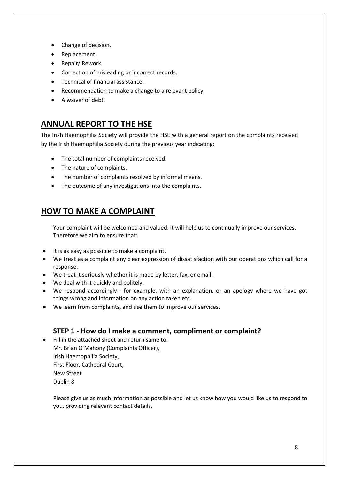- Change of decision.
- Replacement.
- Repair/ Rework.
- Correction of misleading or incorrect records.
- Technical of financial assistance.
- Recommendation to make a change to a relevant policy.
- A waiver of debt.

# **ANNUAL REPORT TO THE HSE**

The Irish Haemophilia Society will provide the HSE with a general report on the complaints received by the Irish Haemophilia Society during the previous year indicating:

- The total number of complaints received.
- The nature of complaints.
- The number of complaints resolved by informal means.
- The outcome of any investigations into the complaints.

# **HOW TO MAKE A COMPLAINT**

Your complaint will be welcomed and valued. It will help us to continually improve our services. Therefore we aim to ensure that:

- It is as easy as possible to make a complaint.
- We treat as a complaint any clear expression of dissatisfaction with our operations which call for a response.
- We treat it seriously whether it is made by letter, fax, or email.
- We deal with it quickly and politely.
- We respond accordingly for example, with an explanation, or an apology where we have got things wrong and information on any action taken etc.
- We learn from complaints, and use them to improve our services.

#### **STEP 1 - How do I make a comment, compliment or complaint?**

• Fill in the attached sheet and return same to: Mr. Brian O'Mahony (Complaints Officer), Irish Haemophilia Society, First Floor, Cathedral Court, New Street Dublin 8

Please give us as much information as possible and let us know how you would like us to respond to you, providing relevant contact details.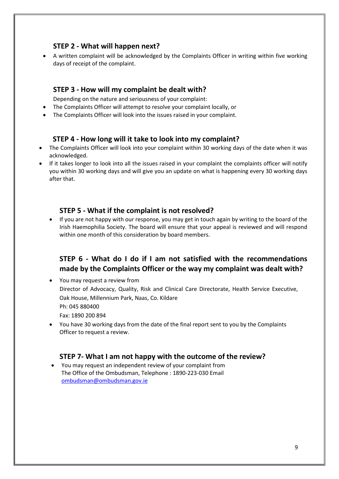#### **STEP 2 - What will happen next?**

• A written complaint will be acknowledged by the Complaints Officer in writing within five working days of receipt of the complaint.

#### **STEP 3 - How will my complaint be dealt with?**

Depending on the nature and seriousness of your complaint:

- The Complaints Officer will attempt to resolve your complaint locally, or
- The Complaints Officer will look into the issues raised in your complaint.

#### **STEP 4 - How long will it take to look into my complaint?**

- The Complaints Officer will look into your complaint within 30 working days of the date when it was acknowledged.
- If it takes longer to look into all the issues raised in your complaint the complaints officer will notify you within 30 working days and will give you an update on what is happening every 30 working days after that.

#### **STEP 5 - What if the complaint is not resolved?**

• If you are not happy with our response, you may get in touch again by writing to the board of the Irish Haemophilia Society. The board will ensure that your appeal is reviewed and will respond within one month of this consideration by board members.

#### **STEP 6 - What do I do if I am not satisfied with the recommendations made by the Complaints Officer or the way my complaint was dealt with?**

• You may request a review from Director of Advocacy, Quality, Risk and Clinical Care Directorate, Health Service Executive, Oak House, Millennium Park, Naas, Co. Kildare Ph: 045 880400 Fax: 1890 200 894

• You have 30 working days from the date of the final report sent to you by the Complaints Officer to request a review.

#### **STEP 7- What I am not happy with the outcome of the review?**

• You may request an independent review of your complaint from The Office of the Ombudsman, Telephone : 1890-223-030 Email ombudsman@ombudsman.gov.ie